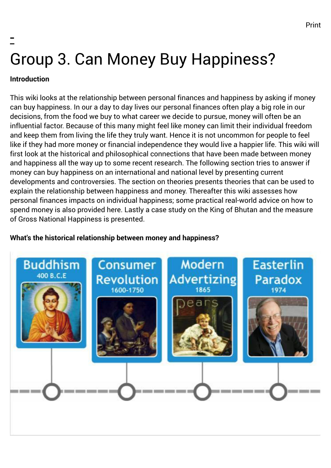# - Group 3. Can Money Buy Happiness?

## **Introduction**

This wiki looks at the relationship between personal finances and happiness by asking if money can buy happiness. In our a day to day lives our personal finances often play a big role in our decisions, from the food we buy to what career we decide to pursue, money will often be an influential factor. Because of this many might feel like money can limit their individual freedom and keep them from living the life they truly want. Hence it is not uncommon for people to feel like if they had more money or financial independence they would live a happier life. This wiki will first look at the historical and philosophical connections that have been made between money and happiness all the way up to some recent research. The following section tries to answer if money can buy happiness on an international and national level by presenting current developments and controversies. The section on theories presents theories that can be used to explain the relationship between happiness and money. Thereafter this wiki assesses how personal finances impacts on individual happiness; some practical real-world advice on how to spend money is also provided here. Lastly a case study on the King of Bhutan and the measure of Gross National Happiness is presented.

## **What's the historical relationship between money and happiness?**

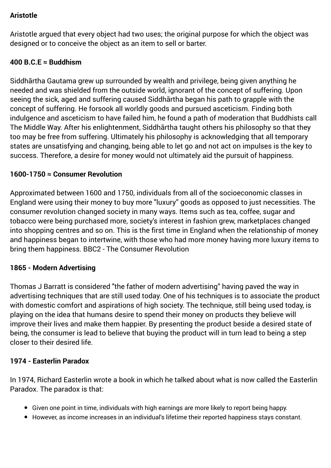## **Aristotle**

Aristotle argued that every object had two uses; the original purpose for which the object was designed or to conceive the object as an item to sell or barter.

## **400 B.C.E ≈ Buddhism**

Siddhārtha Gautama grew up surrounded by wealth and privilege, being given anything he needed and was shielded from the outside world, ignorant of the concept of suffering. Upon seeing the sick, aged and suffering caused Siddhārtha began his path to grapple with the concept of suffering. He forsook all worldly goods and pursued asceticism. Finding both indulgence and asceticism to have failed him, he found a path of moderation that Buddhists call The Middle Way. After his enlightenment, Siddhārtha taught others his philosophy so that they too may be free from suffering. Ultimately his philosophy is acknowledging that all temporary states are unsatisfying and changing, being able to let go and not act on impulses is the key to success. Therefore, a desire for money would not ultimately aid the pursuit of happiness.

### **1600-1750 ≈ Consumer Revolution**

Approximated between 1600 and 1750, individuals from all of the socioeconomic classes in England were using their money to buy more "luxury" goods as opposed to just necessities. The consumer revolution changed society in many ways. Items such as tea, coffee, sugar and tobacco were being purchased more, society's interest in fashion grew, marketplaces changed into shopping centres and so on. This is the first time in England when the relationship of money and happiness began to intertwine, with those who had more money having more luxury items to bring them happiness. [BBC2 - The Consumer Revolution](http://www.bbc.co.uk/programmes/p013f88k)

#### **1865 - Modern Advertising**

Thomas J Barratt is considered "the father of modern advertising" having paved the way in advertising techniques that are still used today. One of his techniques is to associate the product with domestic comfort and aspirations of high society. The technique, still being used today, is playing on the idea that humans desire to spend their money on products they believe will improve their lives and make them happier. By presenting the product beside a desired state of being, the consumer is lead to believe that buying the product will in turn lead to being a step closer to their desired life.

#### **1974 - Easterlin Paradox**

In 1974, Richard Easterlin wrote a book in which he talked about what is now called the Easterlin Paradox. The paradox is that:

- Given one point in time, individuals with high earnings are more likely to report being happy.
- However, as income increases in an individual's lifetime their reported happiness stays constant.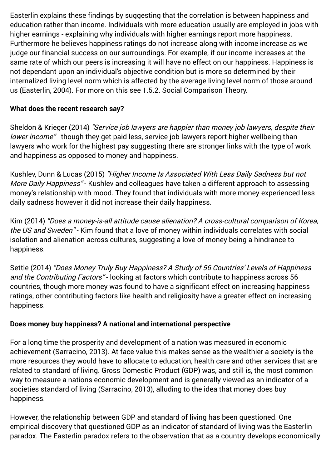Easterlin explains these findings by suggesting that the correlation is between happiness and education rather than income. Individuals with more education usually are employed in jobs with higher earnings - explaining why individuals with higher earnings report more happiness. Furthermore he believes happiness ratings do not increase along with income increase as we judge our financial success on our surroundings. For example, if our income increases at the same rate of which our peers is increasing it will have no effect on our happiness. Happiness is not dependant upon an individual's objective condition but is more so determined by their internalized living level norm which is affected by the average living level norm of those around us [\(Easterlin, 2004\)](http://www.mitpressjournals.org/doi/abs/10.1162/001152604323049361#.VN00T1VUgrM). For more on this see 1.5.2. Social Comparison Theory.

## **What does the recent research say?**

[Sheldon & Krieger \(2014\)](http://www.tandfonline.com/doi/abs/10.1080/17439760.2014.888583#.VNNRL1VUgrM) "Service job lawyers are happier than money job lawyers, despite their lower income" - though they get paid less, service job lawyers report higher wellbeing than lawyers who work for the highest pay suggesting there are stronger links with the type of work and happiness as opposed to money and happiness.

[Kushlev, Dunn & Lucas \(2015\)](http://spp.sagepub.com/content/early/2015/01/08/1948550614568161) "Higher Income Is Associated With Less Daily Sadness but not More Daily Happiness" - Kushlev and colleagues have taken a different approach to assessing money's relationship with mood. They found that individuals with more money experienced less daily sadness however it did not increase their daily happiness.

[Kim \(2014\)](http://onlinelibrary.wiley.com/doi/10.1111/ijcs.12137/abstract) "Does a money-is-all attitude cause alienation? A cross-cultural comparison of Korea, the US and Sweden" - Kim found that a love of money within individuals correlates with social isolation and alienation across cultures, suggesting a love of money being a hindrance to happiness.

[Settle \(2014\)](http://digitalcommons.northgeorgia.edu/papersandpubs/vol3/iss1/11/?utm_source=digitalcommons.northgeorgia.edu%2Fpapersandpubs%2Fvol3%2Fiss1%2F11&utm_medium=PDF&utm_campaign=PDFCoverPages) "Does Money Truly Buy Happiness? A Study of 56 Countries' Levels of Happiness and the Contributing Factors" - looking at factors which contribute to happiness across 56 countries, though more money was found to have a significant effect on increasing happiness ratings, other contributing factors like health and religiosity have a greater effect on increasing happiness.

## **Does money buy happiness? A national and international perspective**

For a long time the prosperity and development of a nation was measured in economic achievement [\(Sarracino, 2013](http://www.sciencedirect.com/science/article/pii/S1053535712001187)). At face value this makes sense as the wealthier a society is the more resources they would have to allocate to education, health care and other services that are related to standard of living. Gross Domestic Product (GDP) was, and still is, the most common way to measure a nations economic development and is generally viewed as an indicator of a societies standard of living ([Sarracino, 2013\)](http://www.sciencedirect.com/science/article/pii/S1053535712001187), alluding to the idea that money does buy happiness.

However, the relationship between GDP and standard of living has been questioned. One empirical discovery that questioned GDP as an indicator of standard of living was the Easterlin paradox. The Easterlin paradox refers to the observation that as a country develops economically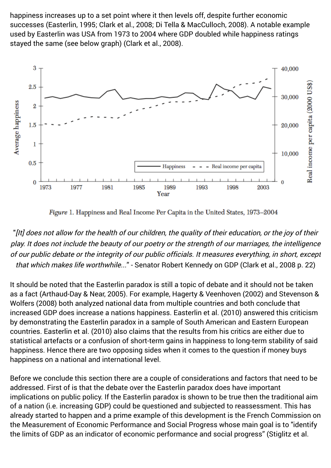happiness increases up to a set point where it then levels off, despite further economic successes [\(Easterlin, 1995;](http://www.sciencedirect.com/science/article/pii/S0304387807000600%E2%80%9D) [Clark et al., 2008;](https://www.aeaweb.org/articles.php?doi=10.1257/jel.46.1.95) [Di Tella & MacCulloch, 2008\)](http://www.sciencedirect.com/science/article/pii/S0304387807000600%E2%80%9D%20target=). A notable example used by Easterlin was USA from 1973 to 2004 where GDP doubled while happiness ratings stayed the same (see below graph) [\(Clark et al., 2008\)](https://www.aeaweb.org/articles.php?doi=10.1257/jel.46.1.95).



Figure 1. Happiness and Real Income Per Capita in the United States, 1973-2004

"[It] does not allow for the health of our children, the quality of their education, or the joy of their play. It does not include the beauty of our poetry or the strength of our marriages, the intelligence of our public debate or the integrity of our public officials. It measures everything, in short, except that which makes life worthwhile..." - Senator Robert Kennedy on GDP [\(Clark et al., 2008 p. 22\)](https://www.aeaweb.org/articles.php?doi=10.1257/jel.46.1.95)

It should be noted that the Easterlin paradox is still a topic of debate and it should not be taken [as a fact \(](http://www.nber.org/papers/w14282)[Arthaud-Day & Near, 2005](http://link.springer.com/article/10.1007/s11205-004-6397-8)[\). For example, H](http://www.nber.org/papers/w14282)[agerty & Veenhoven \(2002\)](http://link.springer.com/article/10.1023%2FA%3A1024790530822) [and Stevenson &](http://www.nber.org/papers/w14282) Wolfers (2008) both analyzed national data from multiple countries and both conclude that increased GDP does increase a nations happiness. [Easterlin et al. \(2010\)](http://www.pnas.org/content/107/52/22463.short) answered this criticism by demonstrating the Easterlin paradox in a sample of South American and Eastern European countries. [Easterlin et al. \(2010\)](http://www.pnas.org/content/107/52/22463.short) also claims that the results from his critics are either due to statistical artefacts or a confusion of short-term gains in happiness to long-term stability of said happiness. Hence there are two opposing sides when it comes to the question if money buys happiness on a national and international level.

Before we conclude this section there are a couple of considerations and factors that need to be addressed. First of is that the debate over the Easterlin paradox does have important implications on public policy. If the Easterlin paradox is shown to be true then the traditional aim of a nation (i.e. increasing GDP) could be questioned and subjected to reassessment. This has already started to happen and a prime example of this development is the French Commission on the Measurement of Economic Performance and Social Progress whose main goal is to "identify [the limits of GDP as an indicator of economic performance and social progress" \(Stiglitz et al.](http://www.stiglitz-sen-fitoussi.fr/en/index.htm)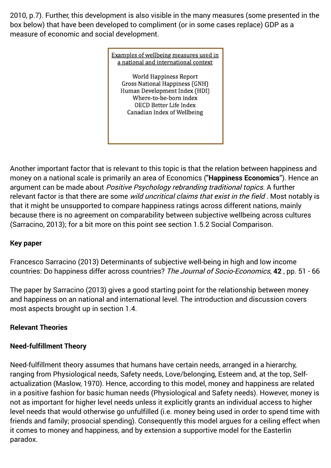[2010, p.7\). Further, this development is also visible in the many measures \(some presented in](http://www.stiglitz-sen-fitoussi.fr/en/index.htm) the box below) that have been developed to compliment (or in some cases replace) GDP as a measure of economic and social development.

> Examples of wellbeing measures used in a national and international context World Happiness Report Gross National Happiness (GNH) Human Development Index (HDI) Where-to-be-born index OECD Better Life Index Canadian Index of Wellbeing

Another important factor that is relevant to this topic is that the relation between happiness and money on a national scale is primarily an area of Economics ("**Happiness Economics**"). Hence an argument can be made about Positive Psychology rebranding traditional topics. A further relevant factor is that there are some wild uncritical claims that exist in the field. Most notably is that it might be unsupported to compare happiness ratings across different nations, mainly because there is no agreement on comparability between subjective wellbeing across cultures [\(Sarracino, 2013\)](http://www.sciencedirect.com/science/article/pii/S1053535712001187); for a bit more on this point see section 1.5.2 Social Comparison.

## **Key paper**

[Francesco Sarracino \(2013\)](http://www.sciencedirect.com/science/article/pii/S1053535712001187) Determinants of subjective well-being in high and low income countries: Do happiness differ across countries? The Journal of Socio-Economics, **42** , pp. 51 - 66

The paper by Sarracino (2013) gives a good starting point for the relationship between money and happiness on an national and international level. The introduction and discussion covers most aspects brought up in section 1.4.

## **Relevant Theories**

## **Need-fulfillment Theory**

Need-fulfillment theory assumes that humans have certain needs, arranged in a hierarchy, ranging from Physiological needs, Safety needs, Love/belonging, Esteem and, at the top, Selfactualization [\(Maslow, 1970\)](http://scottbarrykaufman.com/wp-content/uploads/2015/01/Maslow-1954.pdf). Hence, according to this model, money and happiness are related in a positive fashion for basic human needs (Physiological and Safety needs). However, money is not as important for higher level needs unless it explicitly grants an individual access to higher level needs that would otherwise go unfulfilled (i.e. money being used in order to spend time with friends and family; prosocial spending). Consequently this model argues for a ceiling effect when it comes to money and happiness, and by extension a supportive model for the Easterlin paradox.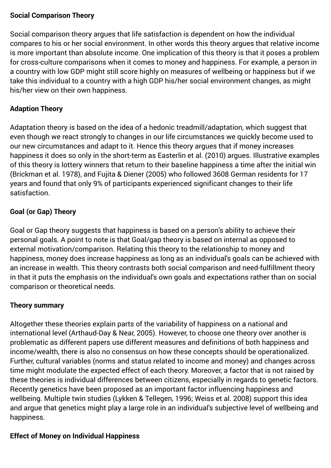### **Social Comparison Theory**

Social comparison theory argues that life satisfaction is dependent on how the individual compares to his or her social environment. In other words this theory argues that relative income is more important than absolute income. One implication of this theory is that it poses a problem for cross-culture comparisons when it comes to money and happiness. For example, a person in a country with low GDP might still score highly on measures of wellbeing or happiness but if we take this individual to a country with a high GDP his/her social environment changes, as might his/her view on their own happiness.

## **Adaption Theory**

Adaptation theory is based on the idea of a hedonic treadmill/adaptation, which suggest that even though we react strongly to changes in our life circumstances we quickly become used to our new circumstances and adapt to it. Hence this theory argues that if money increases happiness it does so only in the short-term as Easterlin et al. (2010) argues. Illustrative examples of this theory is lottery winners that return to their baseline happiness a time after the initial win [\(Brickman et al. 1978\)](http://psycnet.apa.org/journals/psp/36/8/917/), and [Fujita & Diener \(2005\)](http://psycnet.apa.org/journals/psp/88/1/158/) who followed 3608 German residents for 17 years and found that only 9% of participants experienced significant changes to their life satisfaction.

## **Goal (or Gap) Theory**

Goal or Gap theory suggests that happiness is based on a person's ability to achieve their personal goals. A point to note is that Goal/gap theory is based on internal as opposed to external motivation/comparison. Relating this theory to the relationship to money and happiness, money does increase happiness as long as an individual's goals can be achieved with an increase in wealth. This theory contrasts both social comparison and need-fulfillment theory in that it puts the emphasis on the individual's own goals and expectations rather than on social comparison or theoretical needs.

## **Theory summary**

Altogether these theories explain parts of the variability of happiness on a national and international level ([Arthaud-Day & Near, 2005\)](http://link.springer.com/article/10.1007/s11205-004-6397-8). However, to choose one theory over another is problematic as different papers use different measures and definitions of both happiness and income/wealth, there is also no consensus on how these concepts should be operationalized. Further, cultural variables (norms and status related to income and money) and changes across time might modulate the expected effect of each theory. Moreover, a factor that is not raised by these theories is individual differences between citizens, especially in regards to genetic factors. Recently genetics have been proposed as an important factor influencing happiness and wellbeing. Multiple twin studies [\(Lykken & Tellegen, 1996;](http://pss.sagepub.com/content/7/3/186.abstract) [Weiss et al. 2008\)](http://www.ncbi.nlm.nih.gov/pubmed/18315789) support this idea and argue that genetics might play a large role in an individual's subjective level of wellbeing and happiness.

## **Effect of Money on Individual Happiness**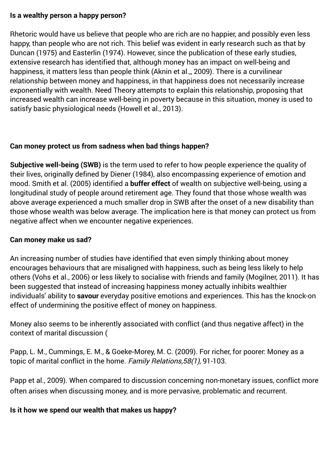#### **Is a wealthy person a happy person?**

Rhetoric would have us believe that people who are rich are no happier, and possibly even less happy, than people who are not rich. This belief was evident in early research such as that by [Duncan \(1975\)](http://moodle2.gla.ac.uk/mod/wiki/%E2%80%9Dhttp%3A//link.springer.com/article/10.1007/BF00293248) and [Easterlin \(1974\).](http://moodle2.gla.ac.uk/mod/wiki/prettyview.php?pageid=5022#Easterlin) However, since the publication of these early studies, extensive research has identified that, although money has an impact on well-being and happiness, it matters less than people think [\(Aknin et al.,, 2009\)](http://moodle2.gla.ac.uk/mod/wiki/%E2%80%9Dhttp%3A//www.tandfonline.com/doi/abs/10.1080/17439760903271421#.VN5qQVWsXNU%E2%80%9C). There is a curvilinear relationship between money and happiness, in that happiness does not necessarily increase exponentially with wealth. [Need Theory](http://moodle2.gla.ac.uk/mod/wiki/prettyview.php?pageid=5022#NeedTheory) attempts to explain this relationship, proposing that increased wealth can increase well-being in poverty because in this situation, money is used to satisfy basic physiological needs [\(Howell et al., 2013\)](http://moodle2.gla.ac.uk/mod/wiki/%E2%80%9Dhttp%3A//link.springer.com/article/10.1007/s11205-010-9774-5).

## **Can money protect us from sadness when bad things happen?**

**Subjective well-being (SWB)** is the term used to refer to how people experience the quality of their lives, originally defined by [Diener \(1984\),](http://moodle2.gla.ac.uk/mod/wiki/%E2%80%9Dhttp%3A//papers.ssrn.com/sol3/papers.cfm?abstract_id=2162125%E2%80%9C) also encompassing experience of emotion and mood. [Smith et al. \(2005\)](http://moodle2.gla.ac.uk/mod/wiki/%E2%80%9Dhttp%3A//pss.sagepub.com/content/16/9/663.short) identified a **buffer effect** of wealth on subjective well-being, using a longitudinal study of people around retirement age. They found that those whose wealth was above average experienced a much smaller drop in SWB after the onset of a new disability than those whose wealth was below average. The implication here is that money can protect us from negative affect when we encounter negative experiences.

## **Can money make us sad?**

An increasing number of studies have identified that even simply thinking about money encourages behaviours that are misaligned with happiness, such as being less likely to help others [\(Vohs et al., 2006](http://moodle2.gla.ac.uk/mod/wiki/%E2%80%9Dhttp%3A//www.sciencemag.org/content/314/5802/1154.short%E2%80%9C)) or less likely to socialise with friends and family [\(Mogilner, 2011\)](http://moodle2.gla.ac.uk/mod/wiki/%E2%80%9Dhttp%3A//pss.sagepub.com/content/21/9/1348.short). It has been suggested that instead of increasing happiness money actually inhibits wealthier individuals' ability to **savour** everyday positive emotions and experiences. This has the knock-on effect of undermining the positive effect of money on happiness.

Money also seems to be inherently associated with conflict (and thus negative affect) in the context of marital discussion (

[Papp, L. M., Cummings, E. M., & Goeke](http://moodle2.gla.ac.uk/mod/wiki/%E2%80%9Dhttp%3A//onlinelibrary.wiley.com/doi/10.1111/j.1741-3729.2008.00537.x/full%E2%80%9C)‐Morey, M. C. (2009). For richer, for poorer: Money as a topic of marital conflict in the home. Family Relations, 58(1), 91-103.

Papp et al., 2009). When compared to discussion concerning non-monetary issues, conflict more often arises when discussing money, and is more pervasive, problematic and recurrent.

## **Is it how we spend our wealth that makes us happy?**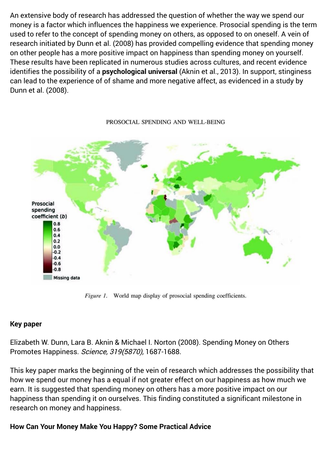An extensive body of research has addressed the question of whether the way we spend our money is a factor which influences the happiness we experience. Prosocial spending is the term used to refer to the concept of spending money on others, as opposed to on oneself. A vein of research initiated by [Dunn et al. \(2008\)](http://moodle2.gla.ac.uk/mod/wiki/%E2%80%9Dhttp%3A//www.sciencemag.org/content/319/5870/1687.short) has provided compelling evidence that spending money on other people has a more positive impact on happiness than spending money on yourself. These results have been replicated in numerous studies across cultures, and recent evidence identifies the possibility of a **psychological universal** [\(Aknin et al., 2013\)](http://moodle2.gla.ac.uk/mod/wiki/%E2%80%9Dhttp%3A//psycnet.apa.org/psycarticles/2013-04859-001). In support, stinginess can lead to the experience of of shame and more negative affect, as evidenced in a study by [Dunn et al. \(2008\).](http://moodle2.gla.ac.uk/mod/wiki/%E2%80%9Dhttp%3A//www.sciencemag.org/content/319/5870/1687.short)



#### PROSOCIAL SPENDING AND WELL-BEING

Figure 1. World map display of prosocial spending coefficients.

#### **Key paper**

[Elizabeth W. Dunn, Lara B. Aknin & Michael I. Norton \(2008\).](http://moodle2.gla.ac.uk/mod/wiki/%E2%80%9Dhttp%3A//www.sciencemag.org/content/319/5870/1687.short) Spending Money on Others Promotes Happiness. Science, 319(5870), 1687-1688.

This key paper marks the beginning of the vein of research which addresses the possibility that how we spend our money has a equal if not greater effect on our happiness as how much we earn. It is suggested that spending money on others has a more positive impact on our happiness than spending it on ourselves. This finding constituted a significant milestone in research on money and happiness.

#### **How Can Your Money Make You Happy? Some Practical Advice**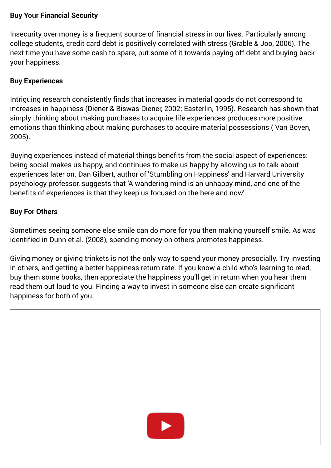#### **Buy Your Financial Security**

Insecurity over money is a frequent source of financial stress in our lives. Particularly among college students, credit card debt is positively correlated with stress [\(Grable & Joo, 2006\)](http://moodle2.gla.ac.uk/mod/wiki/%E2%80%9Dhttps%3A//www.questia.com/library/journal/1G1-147389146/student-racial-differences-in-credit-card-debt-and%E2%80%9C). The next time you have some cash to spare, put some of it towards paying off debt and buying back your happiness.

## **Buy Experiences**

Intriguing research consistently finds that increases in material goods do not correspond to increases in happiness [\(Diener & Biswas-Diener, 2002;](http://moodle2.gla.ac.uk/mod/wiki/%E2%80%9Dhttp%3A//link.springer.com/article/10.1023/A:1014411319119%E2%80%9C) [Easterlin, 1995\)](http://moodle2.gla.ac.uk/mod/wiki/prettyview.php?pageid=5022#Easterlin1995). Research has shown that simply thinking about making purchases to acquire life experiences produces more positive [emotions than thinking about making purchases to acquire material possessions \( Van Boven,](http://moodle2.gla.ac.uk/mod/wiki/%E2%80%9Dhttp%3A//psycnet.apa.org/journals/gpr/9/2/132/%E2%80%9C) 2005).

Buying experiences instead of material things benefits from the social aspect of experiences: being social makes us happy, and continues to make us happy by allowing us to talk about experiences later on. Dan Gilbert, author of 'Stumbling on Happiness' and Harvard University psychology professor, suggests that 'A wandering mind is an unhappy mind, and one of the benefits of experiences is that they keep us focused on the here and now'.

## **Buy For Others**

Sometimes seeing someone else smile can do more for you then making yourself smile. As was identified in [Dunn et al. \(2008\),](http://moodle2.gla.ac.uk/mod/wiki/%E2%80%9Dhttp%3A//www.sciencemag.org/content/319/5870/1687.short) spending money on others promotes happiness.

Giving money or giving trinkets is not the only way to spend your money prosocially. Try investing in others, and getting a better happiness return rate. If you know a child who's learning to read, buy them some books, then appreciate the happiness you'll get in return when you hear them read them out loud to you. Finding a way to invest in someone else can create significant happiness for both of you.

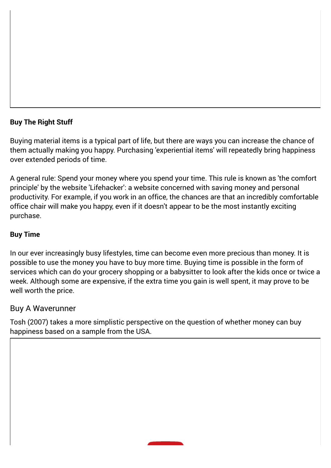## **Buy The Right Stuff**

Buying material items is a typical part of life, but there are ways you can increase the chance of them actually making you happy. Purchasing 'experiential items' will repeatedly bring happiness over extended periods of time.

A general rule: Spend your money where you spend your time. This rule is known as 'the comfort principle' by the website ['Lifehacker](http://www.lifehacker.co.uk/)': a website concerned with saving money and personal productivity. For example, if you work in an office, the chances are that an incredibly comfortable office chair will make you happy, even if it doesn't appear to be the most instantly exciting purchase.

## **Buy Time**

In our ever increasingly busy lifestyles, time can become even more precious than money. It is possible to use the money you have to buy more time. Buying time is possible in the form of services which can do your grocery shopping or a babysitter to look after the kids once or twice a week. Although some are expensive, if the extra time you gain is well spent, it may prove to be well worth the price.

## Buy A Waverunner

[Tosh \(2007\)](http://moodle2.gla.ac.uk/mod/wiki/prettyview.php?pageid=5022#Tosh2007) takes a more simplistic perspective on the question of whether money can buy happiness based on a sample from the USA.

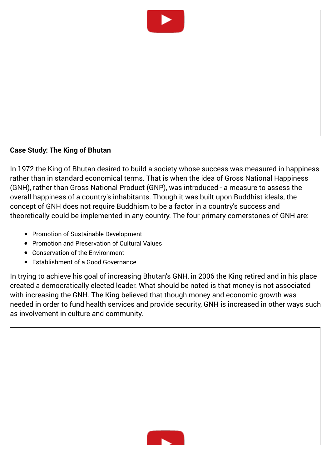

#### **Case Study: The King of Bhutan**

In 1972 the King of Bhutan desired to build a society whose success was measured in happiness rather than in standard economical terms. That is when the idea of Gross National Happiness (GNH), rather than Gross National Product (GNP), was introduced - a measure to assess the overall happiness of a country's inhabitants. Though it was built upon Buddhist ideals, the concept of GNH does not require Buddhism to be a factor in a country's success and theoretically could be implemented in any country. The four primary cornerstones of GNH are:

- Promotion of Sustainable Development
- Promotion and Preservation of Cultural Values
- Conservation of the Environment
- Establishment of a Good Governance

In trying to achieve his goal of increasing Bhutan's GNH, in 2006 the King retired and in his place created a democratically elected leader. What should be noted is that money is not associated with increasing the GNH. The King believed that though money and economic growth was needed in order to fund health services and provide security, GNH is increased in other ways such as involvement in culture and community.

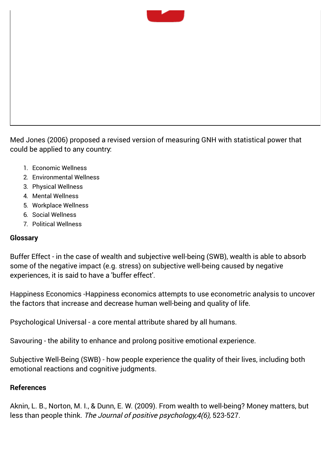

[Med Jones \(2006\)](http://www.iim-edu.org/thinktank/publications/economics-journal/happiness-economics-gross-national-happiness-gnh-index-policy-white-paper/index.htm) proposed a revised version of measuring GNH with statistical power that could be applied to any country:

- 1. Economic Wellness
- 2. Environmental Wellness
- 3. Physical Wellness
- 4. Mental Wellness
- 5. Workplace Wellness
- 6. Social Wellness
- 7. Political Wellness

#### **Glossary**

Buffer Effect - in the case of wealth and subjective well-being (SWB), wealth is able to absorb some of the negative impact (e.g. stress) on subjective well-being caused by negative experiences, it is said to have a 'buffer effect'.

Happiness Economics -Happiness economics attempts to use econometric analysis to uncover the factors that increase and decrease human well-being and quality of life.

Psychological Universal - a core mental attribute shared by all humans.

Savouring - the ability to enhance and prolong positive emotional experience.

Subjective Well-Being (SWB) - how people experience the quality of their lives, including both emotional reactions and cognitive judgments.

#### **References**

[Aknin, L. B., Norton, M. I., & Dunn, E. W. \(2009\).](http://www.tandfonline.com/doi/abs/10.1080/17439760903271421#.VN5qQVWsXNU) From wealth to well-being? Money matters, but less than people think. The Journal of positive psychology, 4(6), 523-527.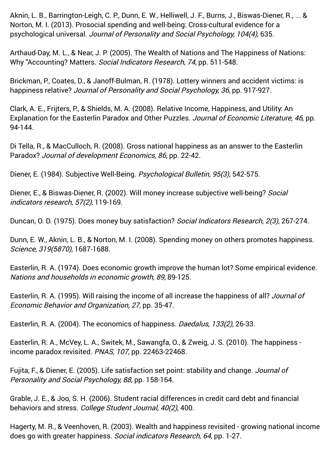[Aknin, L. B., Barrington-Leigh, C. P., Dunn, E. W., Helliwell, J. F., Burns, J., Biswas-Diener, R., ... &](http://psycnet.apa.org/psycarticles/2013-04859-001) Norton, M. I. (2013). Prosocial spending and well-being: Cross-cultural evidence for a psychological universal. Journal of Personality and Social Psychology, 104(4), 635.

[Arthaud-Day, M. L., & Near, J. P. \(2005\).](http://link.springer.com/article/10.1007/s11205-004-6397-8) The Wealth of Nations and The Happiness of Nations: Why "Accounting? Matters. Social Indicators Research, 74, pp. 511-548.

[Brickman, P., Coates, D., & Janoff-Bulman, R. \(1978\).](http://psycnet.apa.org/journals/psp/36/8/917/) Lottery winners and accident victims: is happiness relative? Journal of Personality and Social Psychology, 36, pp. 917-927.

[Clark, A. E., Frijters, P., & Shields, M. A. \(2008\).](https://www.aeaweb.org/articles.php?doi=10.1257/jel.46.1.95) Relative Income, Happiness, and Utility: An Explanation for the Easterlin Paradox and Other Puzzles. Journal of Economic Literature, 46, pp. 94-144.

[Di Tella, R., & MacCulloch, R. \(2008\)](http://www.sciencedirect.com/science/article/pii/S0304387807000600%E2%80%9D%20target=). Gross national happiness as an answer to the Easterlin Paradox? Journal of development Economics, 86, pp. 22-42.

[Diener, E. \(1984\).](http://papers.ssrn.com/sol3/papers.cfm?abstract_id=2162125) Subjective Well-Being. Psychological Bulletin, 95(3), 542-575.

[Diener, E., & Biswas-Diener, R. \(2002\).](http://link.springer.com/article/10.1023/A:1014411319119) Will money increase subjective well-being? Social indicators research, 57(2), 119-169.

[Duncan, O. D. \(1975\).](http://link.springer.com/article/10.1007/BF00293248) Does money buy satisfaction? Social Indicators Research, 2(3), 267-274.

[Dunn, E. W., Aknin, L. B., & Norton, M. I. \(2008\).](http://www.sciencemag.org/content/319/5870/1687.short) Spending money on others promotes happiness. Science, 319(5870), 1687-1688.

[Easterlin, R. A. \(1974\).](http://graphics8.nytimes.com/images/2008/04/16/business/Easterlin1974.pdf) Does economic growth improve the human lot? Some empirical evidence. Nations and households in economic growth, 89, 89-125.

[Easterlin, R. A. \(1995\).](http://www.sciencedirect.com/science/article/pii/S0304387807000600%E2%80%9D) Will raising the income of all increase the happiness of all? Journal of Economic Behavior and Organization, 27, pp. 35-47.

[Easterlin, R. A. \(2004\).](http://www.mitpressjournals.org/doi/abs/10.1162/001152604323049361#.VN00T1VUgrM) The economics of happiness. Daedalus, 133(2), 26-33.

[Easterlin, R. A., McVey, L. A., Switek, M., Sawangfa, O., & Zweig, J. S. \(2010\)](http://www.pnas.org/content/107/52/22463.short). The happiness income paradox revisited. PNAS, 107, pp. 22463-22468.

[Fujita, F., & Diener, E. \(2005\).](http://psycnet.apa.org/journals/psp/88/1/158/) Life satisfaction set point: stability and change. Journal of Personality and Social Psychology, 88, pp. 158-164.

[Grable, J. E., & Joo, S. H. \(2006\).](https://www.questia.com/library/journal/1G1-147389146/student-racial-differences-in-credit-card-debt-and) Student racial differences in credit card debt and financial behaviors and stress. College Student Journal, 40(2), 400.

[Hagerty, M. R., & Veenhoven, R. \(2003\).](http://link.springer.com/article/10.1023%2FA%3A1024790530822) Wealth and happiness revisited - growing national income does go with greater happiness. Social indicators Research, 64, pp. 1-27.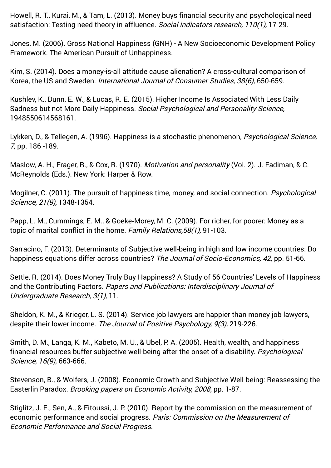[Howell, R. T., Kurai, M., & Tam, L. \(2013\).](http://link.springer.com/article/10.1007/s11205-010-9774-5) Money buys financial security and psychological need satisfaction: Testing need theory in affluence. Social indicators research, 110(1), 17-29.

[Jones, M. \(2006\).](http://www.iim-edu.org/thinktank/publications/economics-journal/happiness-economics-gross-national-happiness-gnh-index-policy-white-paper/index.htm) Gross National Happiness (GNH) - A New Socioeconomic Development Policy Framework. The American Pursuit of Unhappiness.

[Kim, S. \(2014\).](http://onlinelibrary.wiley.com/doi/10.1111/ijcs.12137/abstract) Does a money-is-all attitude cause alienation? A cross-cultural comparison of Korea, the US and Sweden. International Journal of Consumer Studies, 38(6), 650-659.

[Kushlev, K., Dunn, E. W., & Lucas, R. E. \(2015\).](http://spp.sagepub.com/content/early/2015/01/08/1948550614568161) Higher Income Is Associated With Less Daily Sadness but not More Daily Happiness. Social Psychological and Personality Science, 1948550614568161.

[Lykken, D., & Tellegen, A. \(1996\).](http://pss.sagepub.com/content/7/3/186.abstract) Happiness is a stochastic phenomenon, *Psychological Science,* 7, pp. 186 -189.

[Maslow, A. H., Frager, R., & Cox, R. \(1970\).](http://scottbarrykaufman.com/wp-content/uploads/2015/01/Maslow-1954.pdf) Motivation and personality (Vol. 2). J. Fadiman, & C. McReynolds (Eds.). New York: Harper & Row.

[Mogilner, C. \(2011\).](http://pss.sagepub.com/content/21/9/1348.short) The pursuit of happiness time, money, and social connection. Psychological Science, 21(9), 1348-1354.

[Papp, L. M., Cummings, E. M., & Goeke](http://onlinelibrary.wiley.com/doi/10.1111/j.1741-3729.2008.00537.x/full)‐Morey, M. C. (2009). For richer, for poorer: Money as a topic of marital conflict in the home. Family Relations, 58(1), 91-103.

[Sarracino, F. \(2013\).](http://www.sciencedirect.com/science/article/pii/S1053535712001187) Determinants of Subjective well-being in high and low income countries: Do happiness equations differ across countries? The Journal of Socio-Economics, 42, pp. 51-66.

[Settle, R. \(2014\).](http://digitalcommons.northgeorgia.edu/papersandpubs/vol3/iss1/11/?utm_source=digitalcommons.northgeorgia.edu%2Fpapersandpubs%2Fvol3%2Fiss1%2F11&utm_medium=PDF&utm_campaign=PDFCoverPages) Does Money Truly Buy Happiness? A Study of 56 Countries' Levels of Happiness and the Contributing Factors. Papers and Publications: Interdisciplinary Journal of Undergraduate Research, 3(1), 11.

[Sheldon, K. M., & Krieger, L. S. \(2014\).](http://www.tandfonline.com/doi/abs/10.1080/17439760.2014.888583#.VNNRL1VUgrM) Service job lawyers are happier than money job lawyers, despite their lower income. The Journal of Positive Psychology, 9(3), 219-226.

[Smith, D. M., Langa, K. M., Kabeto, M. U., & Ubel, P. A. \(2005\).](http://pss.sagepub.com/content/16/9/663.short) Health, wealth, and happiness financial resources buffer subjective well-being after the onset of a disability. Psychological Science, 16(9), 663-666.

[Stevenson, B., & Wolfers, J. \(2008\).](http://www.nber.org/papers/w14282) Economic Growth and Subjective Well-being: Reassessing the Easterlin Paradox. Brooking papers on Economic Activity, 2008, pp. 1-87.

[Stiglitz, J. E., Sen, A., & Fitoussi, J. P. \(2010\)](http://www.stiglitz-sen-fitoussi.fr/en/index.htm). Report by the commission on the measurement of economic performance and social progress. Paris: Commission on the Measurement of Economic Performance and Social Progress.